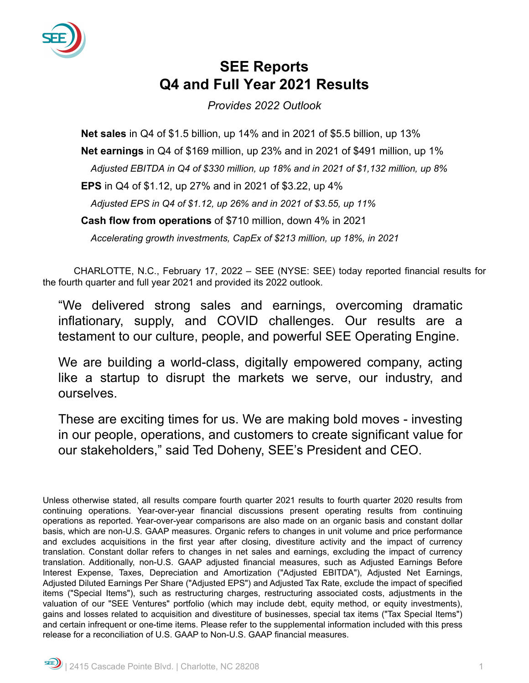

# **SEE Reports Q4 and Full Year 2021 Results**

*Provides 2022 Outlook*

**Net sales** in Q4 of \$1.5 billion, up 14% and in 2021 of \$5.5 billion, up 13% **Net earnings** in Q4 of \$169 million, up 23% and in 2021 of \$491 million, up 1% *Adjusted EBITDA in Q4 of \$330 million, up 18% and in 2021 of \$1,132 million, up 8%* **EPS** in Q4 of \$1.12, up 27% and in 2021 of \$3.22, up 4% *Adjusted EPS in Q4 of \$1.12, up 26% and in 2021 of \$3.55, up 11%* **Cash flow from operations** of \$710 million, down 4% in 2021 *Accelerating growth investments, CapEx of \$213 million, up 18%, in 2021*

CHARLOTTE, N.C., February 17, 2022 – SEE (NYSE: SEE) today reported financial results for the fourth quarter and full year 2021 and provided its 2022 outlook.

"We delivered strong sales and earnings, overcoming dramatic inflationary, supply, and COVID challenges. Our results are a testament to our culture, people, and powerful SEE Operating Engine.

We are building a world-class, digitally empowered company, acting like a startup to disrupt the markets we serve, our industry, and ourselves.

These are exciting times for us. We are making bold moves - investing in our people, operations, and customers to create significant value for our stakeholders," said Ted Doheny, SEE's President and CEO.

Unless otherwise stated, all results compare fourth quarter 2021 results to fourth quarter 2020 results from continuing operations. Year-over-year financial discussions present operating results from continuing operations as reported. Year-over-year comparisons are also made on an organic basis and constant dollar basis, which are non-U.S. GAAP measures. Organic refers to changes in unit volume and price performance and excludes acquisitions in the first year after closing, divestiture activity and the impact of currency translation. Constant dollar refers to changes in net sales and earnings, excluding the impact of currency translation. Additionally, non-U.S. GAAP adjusted financial measures, such as Adjusted Earnings Before Interest Expense, Taxes, Depreciation and Amortization ("Adjusted EBITDA"), Adjusted Net Earnings, Adjusted Diluted Earnings Per Share ("Adjusted EPS") and Adjusted Tax Rate, exclude the impact of specified items ("Special Items"), such as restructuring charges, restructuring associated costs, adjustments in the valuation of our "SEE Ventures" portfolio (which may include debt, equity method, or equity investments), gains and losses related to acquisition and divestiture of businesses, special tax items ("Tax Special Items") and certain infrequent or one-time items. Please refer to the supplemental information included with this press release for a reconciliation of U.S. GAAP to Non-U.S. GAAP financial measures.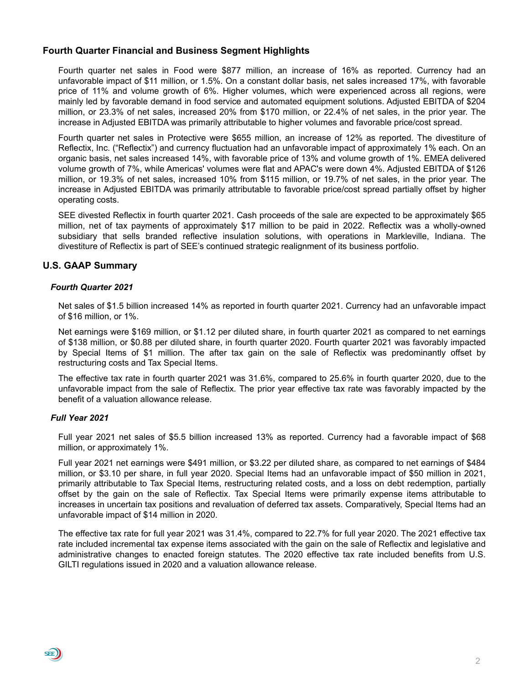# **Fourth Quarter Financial and Business Segment Highlights**

Fourth quarter net sales in Food were \$877 million, an increase of 16% as reported. Currency had an unfavorable impact of \$11 million, or 1.5%. On a constant dollar basis, net sales increased 17%, with favorable price of 11% and volume growth of 6%. Higher volumes, which were experienced across all regions, were mainly led by favorable demand in food service and automated equipment solutions. Adjusted EBITDA of \$204 million, or 23.3% of net sales, increased 20% from \$170 million, or 22.4% of net sales, in the prior year. The increase in Adjusted EBITDA was primarily attributable to higher volumes and favorable price/cost spread.

Fourth quarter net sales in Protective were \$655 million, an increase of 12% as reported. The divestiture of Reflectix, Inc. ("Reflectix") and currency fluctuation had an unfavorable impact of approximately 1% each. On an organic basis, net sales increased 14%, with favorable price of 13% and volume growth of 1%. EMEA delivered volume growth of 7%, while Americas' volumes were flat and APAC's were down 4%. Adjusted EBITDA of \$126 million, or 19.3% of net sales, increased 10% from \$115 million, or 19.7% of net sales, in the prior year. The increase in Adjusted EBITDA was primarily attributable to favorable price/cost spread partially offset by higher operating costs.

SEE divested Reflectix in fourth quarter 2021. Cash proceeds of the sale are expected to be approximately \$65 million, net of tax payments of approximately \$17 million to be paid in 2022. Reflectix was a wholly-owned subsidiary that sells branded reflective insulation solutions, with operations in Markleville, Indiana. The divestiture of Reflectix is part of SEE's continued strategic realignment of its business portfolio.

# **U.S. GAAP Summary**

#### *Fourth Quarter 2021*

Net sales of \$1.5 billion increased 14% as reported in fourth quarter 2021. Currency had an unfavorable impact of \$16 million, or 1%.

Net earnings were \$169 million, or \$1.12 per diluted share, in fourth quarter 2021 as compared to net earnings of \$138 million, or \$0.88 per diluted share, in fourth quarter 2020. Fourth quarter 2021 was favorably impacted by Special Items of \$1 million. The after tax gain on the sale of Reflectix was predominantly offset by restructuring costs and Tax Special Items.

The effective tax rate in fourth quarter 2021 was 31.6%, compared to 25.6% in fourth quarter 2020, due to the unfavorable impact from the sale of Reflectix. The prior year effective tax rate was favorably impacted by the benefit of a valuation allowance release.

#### *Full Year 2021*

SEE))

Full year 2021 net sales of \$5.5 billion increased 13% as reported. Currency had a favorable impact of \$68 million, or approximately 1%.

Full year 2021 net earnings were \$491 million, or \$3.22 per diluted share, as compared to net earnings of \$484 million, or \$3.10 per share, in full year 2020. Special Items had an unfavorable impact of \$50 million in 2021, primarily attributable to Tax Special Items, restructuring related costs, and a loss on debt redemption, partially offset by the gain on the sale of Reflectix. Tax Special Items were primarily expense items attributable to increases in uncertain tax positions and revaluation of deferred tax assets. Comparatively, Special Items had an unfavorable impact of \$14 million in 2020.

The effective tax rate for full year 2021 was 31.4%, compared to 22.7% for full year 2020. The 2021 effective tax rate included incremental tax expense items associated with the gain on the sale of Reflectix and legislative and administrative changes to enacted foreign statutes. The 2020 effective tax rate included benefits from U.S. GILTI regulations issued in 2020 and a valuation allowance release.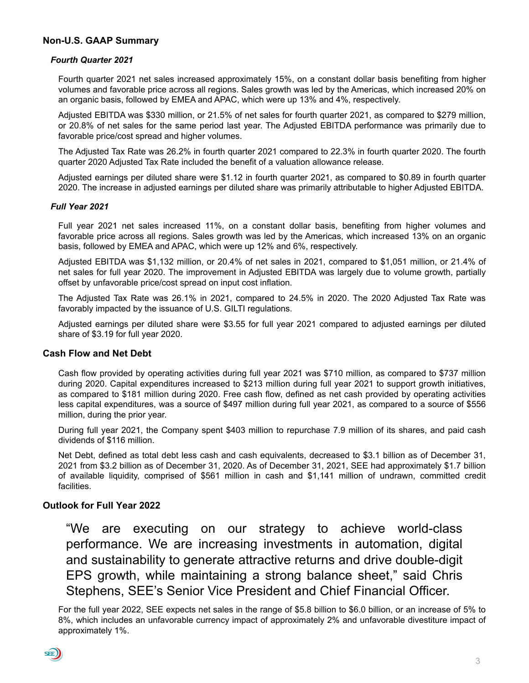# **Non-U.S. GAAP Summary**

#### *Fourth Quarter 2021*

Fourth quarter 2021 net sales increased approximately 15%, on a constant dollar basis benefiting from higher volumes and favorable price across all regions. Sales growth was led by the Americas, which increased 20% on an organic basis, followed by EMEA and APAC, which were up 13% and 4%, respectively.

Adjusted EBITDA was \$330 million, or 21.5% of net sales for fourth quarter 2021, as compared to \$279 million, or 20.8% of net sales for the same period last year. The Adjusted EBITDA performance was primarily due to favorable price/cost spread and higher volumes.

The Adjusted Tax Rate was 26.2% in fourth quarter 2021 compared to 22.3% in fourth quarter 2020. The fourth quarter 2020 Adjusted Tax Rate included the benefit of a valuation allowance release.

Adjusted earnings per diluted share were \$1.12 in fourth quarter 2021, as compared to \$0.89 in fourth quarter 2020. The increase in adjusted earnings per diluted share was primarily attributable to higher Adjusted EBITDA.

#### *Full Year 2021*

Full year 2021 net sales increased 11%, on a constant dollar basis, benefiting from higher volumes and favorable price across all regions. Sales growth was led by the Americas, which increased 13% on an organic basis, followed by EMEA and APAC, which were up 12% and 6%, respectively.

Adjusted EBITDA was \$1,132 million, or 20.4% of net sales in 2021, compared to \$1,051 million, or 21.4% of net sales for full year 2020. The improvement in Adjusted EBITDA was largely due to volume growth, partially offset by unfavorable price/cost spread on input cost inflation.

The Adjusted Tax Rate was 26.1% in 2021, compared to 24.5% in 2020. The 2020 Adjusted Tax Rate was favorably impacted by the issuance of U.S. GILTI regulations.

Adjusted earnings per diluted share were \$3.55 for full year 2021 compared to adjusted earnings per diluted share of \$3.19 for full year 2020.

# **Cash Flow and Net Debt**

Cash flow provided by operating activities during full year 2021 was \$710 million, as compared to \$737 million during 2020. Capital expenditures increased to \$213 million during full year 2021 to support growth initiatives, as compared to \$181 million during 2020. Free cash flow, defined as net cash provided by operating activities less capital expenditures, was a source of \$497 million during full year 2021, as compared to a source of \$556 million, during the prior year.

During full year 2021, the Company spent \$403 million to repurchase 7.9 million of its shares, and paid cash dividends of \$116 million.

Net Debt, defined as total debt less cash and cash equivalents, decreased to \$3.1 billion as of December 31, 2021 from \$3.2 billion as of December 31, 2020. As of December 31, 2021, SEE had approximately \$1.7 billion of available liquidity, comprised of \$561 million in cash and \$1,141 million of undrawn, committed credit facilities.

# **Outlook for Full Year 2022**

"We are executing on our strategy to achieve world-class performance. We are increasing investments in automation, digital and sustainability to generate attractive returns and drive double-digit EPS growth, while maintaining a strong balance sheet," said Chris Stephens, SEE's Senior Vice President and Chief Financial Officer.

For the full year 2022, SEE expects net sales in the range of \$5.8 billion to \$6.0 billion, or an increase of 5% to 8%, which includes an unfavorable currency impact of approximately 2% and unfavorable divestiture impact of approximately 1%.

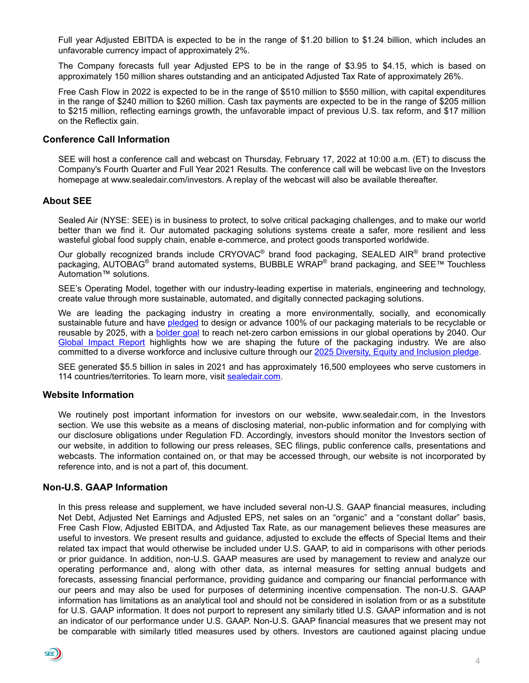Full year Adjusted EBITDA is expected to be in the range of \$1.20 billion to \$1.24 billion, which includes an unfavorable currency impact of approximately 2%.

The Company forecasts full year Adjusted EPS to be in the range of \$3.95 to \$4.15, which is based on approximately 150 million shares outstanding and an anticipated Adjusted Tax Rate of approximately 26%.

Free Cash Flow in 2022 is expected to be in the range of \$510 million to \$550 million, with capital expenditures in the range of \$240 million to \$260 million. Cash tax payments are expected to be in the range of \$205 million to \$215 million, reflecting earnings growth, the unfavorable impact of previous U.S. tax reform, and \$17 million on the Reflectix gain.

# **Conference Call Information**

SEE will host a conference call and webcast on Thursday, February 17, 2022 at 10:00 a.m. (ET) to discuss the Company's Fourth Quarter and Full Year 2021 Results. The conference call will be webcast live on the Investors homepage at www.sealedair.com/investors. A replay of the webcast will also be available thereafter.

# **About SEE**

Sealed Air (NYSE: SEE) is in business to protect, to solve critical packaging challenges, and to make our world better than we find it. Our automated packaging solutions systems create a safer, more resilient and less wasteful global food supply chain, enable e-commerce, and protect goods transported worldwide.

Our globally recognized brands include CRYOVAC<sup>®</sup> brand food packaging, SEALED AIR<sup>®</sup> brand protective packaging, AUTOBAG<sup>®</sup> brand automated systems, BUBBLE WRAP<sup>®</sup> brand packaging, and SEE™ Touchless Automation™ solutions.

SEE's Operating Model, together with our industry-leading expertise in materials, engineering and technology, create value through more sustainable, automated, and digitally connected packaging solutions.

We are leading the packaging industry in creating a more environmentally, socially, and economically sustainable future and have [pledged](https://www.sealedair.com/company/media-center/press-releases/sealed-air-announces-bold-2025-sustainability-and-plastics-pledge) to design or advance 100% of our packaging materials to be recyclable or reusable by 2025, with a **[bolder goal](https://www.sealedair.com/company/media-center/press-releases/sealed-air-announces-net-zero-carbon-emissions-goal)** to reach net-zero carbon emissions in our global operations by 2040. Our [Global Impact Repor](https://www.sealedair.com/company/sustainability?utm_source=linkedin&utm_medium=social-organic&utm_campaign=sustainability--sa&utm_term=&utm_platform=sustainability&utm_region=global&utm_program=sustainability&utm_product=general&utm_content=global-impact-report-digitally-connected)t highlights how we are shaping the future of the packaging industry. We are also committed to a diverse workforce and inclusive culture through our [2025 Diversity, Equity and Inclusion pledge.](https://www.sealedair.com/company/our-company/diversity-equity-and-inclusion)

SEE generated \$5.5 billion in sales in 2021 and has approximately 16,500 employees who serve customers in 114 countries/territories. To learn more, visit [sealedair.com.](https://www.sealedair.com/)

#### **Website Information**

We routinely post important information for investors on our website, www.sealedair.com, in the Investors section. We use this website as a means of disclosing material, non-public information and for complying with our disclosure obligations under Regulation FD. Accordingly, investors should monitor the Investors section of our website, in addition to following our press releases, SEC filings, public conference calls, presentations and webcasts. The information contained on, or that may be accessed through, our website is not incorporated by reference into, and is not a part of, this document.

#### **Non-U.S. GAAP Information**

In this press release and supplement, we have included several non-U.S. GAAP financial measures, including Net Debt, Adjusted Net Earnings and Adjusted EPS, net sales on an "organic" and a "constant dollar" basis, Free Cash Flow, Adjusted EBITDA, and Adjusted Tax Rate, as our management believes these measures are useful to investors. We present results and guidance, adjusted to exclude the effects of Special Items and their related tax impact that would otherwise be included under U.S. GAAP, to aid in comparisons with other periods or prior guidance. In addition, non-U.S. GAAP measures are used by management to review and analyze our operating performance and, along with other data, as internal measures for setting annual budgets and forecasts, assessing financial performance, providing guidance and comparing our financial performance with our peers and may also be used for purposes of determining incentive compensation. The non-U.S. GAAP information has limitations as an analytical tool and should not be considered in isolation from or as a substitute for U.S. GAAP information. It does not purport to represent any similarly titled U.S. GAAP information and is not an indicator of our performance under U.S. GAAP. Non-U.S. GAAP financial measures that we present may not be comparable with similarly titled measures used by others. Investors are cautioned against placing undue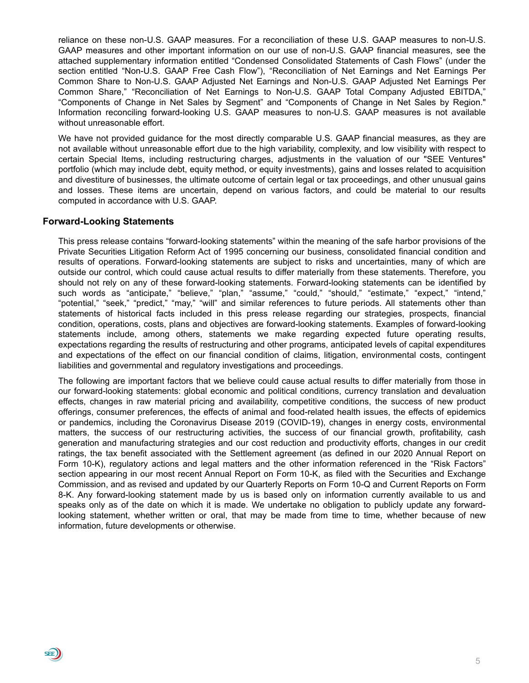reliance on these non-U.S. GAAP measures. For a reconciliation of these U.S. GAAP measures to non-U.S. GAAP measures and other important information on our use of non-U.S. GAAP financial measures, see the attached supplementary information entitled "Condensed Consolidated Statements of Cash Flows" (under the section entitled "Non-U.S. GAAP Free Cash Flow"), "Reconciliation of Net Earnings and Net Earnings Per Common Share to Non-U.S. GAAP Adjusted Net Earnings and Non-U.S. GAAP Adjusted Net Earnings Per Common Share," "Reconciliation of Net Earnings to Non-U.S. GAAP Total Company Adjusted EBITDA," "Components of Change in Net Sales by Segment" and "Components of Change in Net Sales by Region." Information reconciling forward-looking U.S. GAAP measures to non-U.S. GAAP measures is not available without unreasonable effort.

We have not provided guidance for the most directly comparable U.S. GAAP financial measures, as they are not available without unreasonable effort due to the high variability, complexity, and low visibility with respect to certain Special Items, including restructuring charges, adjustments in the valuation of our "SEE Ventures" portfolio (which may include debt, equity method, or equity investments), gains and losses related to acquisition and divestiture of businesses, the ultimate outcome of certain legal or tax proceedings, and other unusual gains and losses. These items are uncertain, depend on various factors, and could be material to our results computed in accordance with U.S. GAAP.

#### **Forward-Looking Statements**

 $\sin)$ 

This press release contains "forward-looking statements" within the meaning of the safe harbor provisions of the Private Securities Litigation Reform Act of 1995 concerning our business, consolidated financial condition and results of operations. Forward-looking statements are subject to risks and uncertainties, many of which are outside our control, which could cause actual results to differ materially from these statements. Therefore, you should not rely on any of these forward-looking statements. Forward-looking statements can be identified by such words as "anticipate," "believe," "plan," "assume," "could," "should," "estimate," "expect," "intend," "potential," "seek," "predict," "may," "will" and similar references to future periods. All statements other than statements of historical facts included in this press release regarding our strategies, prospects, financial condition, operations, costs, plans and objectives are forward-looking statements. Examples of forward-looking statements include, among others, statements we make regarding expected future operating results, expectations regarding the results of restructuring and other programs, anticipated levels of capital expenditures and expectations of the effect on our financial condition of claims, litigation, environmental costs, contingent liabilities and governmental and regulatory investigations and proceedings.

The following are important factors that we believe could cause actual results to differ materially from those in our forward-looking statements: global economic and political conditions, currency translation and devaluation effects, changes in raw material pricing and availability, competitive conditions, the success of new product offerings, consumer preferences, the effects of animal and food-related health issues, the effects of epidemics or pandemics, including the Coronavirus Disease 2019 (COVID-19), changes in energy costs, environmental matters, the success of our restructuring activities, the success of our financial growth, profitability, cash generation and manufacturing strategies and our cost reduction and productivity efforts, changes in our credit ratings, the tax benefit associated with the Settlement agreement (as defined in our 2020 Annual Report on Form 10-K), regulatory actions and legal matters and the other information referenced in the "Risk Factors" section appearing in our most recent Annual Report on Form 10-K, as filed with the Securities and Exchange Commission, and as revised and updated by our Quarterly Reports on Form 10-Q and Current Reports on Form 8-K. Any forward-looking statement made by us is based only on information currently available to us and speaks only as of the date on which it is made. We undertake no obligation to publicly update any forwardlooking statement, whether written or oral, that may be made from time to time, whether because of new information, future developments or otherwise.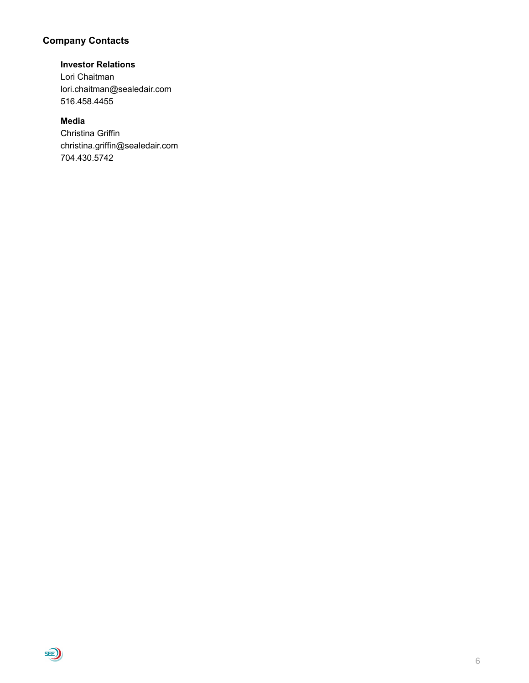# **Company Contacts**

# **Investor Relations**

Lori Chaitman lori.chaitman@sealedair.com 516.458.4455

# **Media**

Christina Griffin christina.griffin@sealedair.com 704.430.5742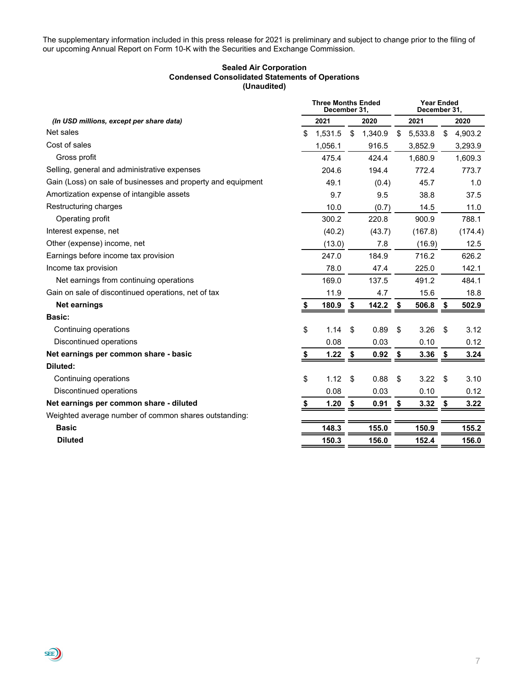The supplementary information included in this press release for 2021 is preliminary and subject to change prior to the filing of our upcoming Annual Report on Form 10-K with the Securities and Exchange Commission.

#### **Sealed Air Corporation Condensed Consolidated Statements of Operations (Unaudited)**

|                                                              |    | <b>Three Months Ended</b><br>December 31, |      |         | <b>Year Ended</b><br>December 31, |         |    |         |  |  |
|--------------------------------------------------------------|----|-------------------------------------------|------|---------|-----------------------------------|---------|----|---------|--|--|
| (In USD millions, except per share data)                     |    | 2021                                      |      | 2020    |                                   | 2021    |    | 2020    |  |  |
| Net sales                                                    | \$ | 1,531.5                                   | \$   | 1,340.9 | \$                                | 5,533.8 | \$ | 4,903.2 |  |  |
| Cost of sales                                                |    | 1,056.1                                   |      | 916.5   |                                   | 3,852.9 |    | 3,293.9 |  |  |
| Gross profit                                                 |    | 475.4                                     |      | 424.4   |                                   | 1,680.9 |    | 1,609.3 |  |  |
| Selling, general and administrative expenses                 |    | 204.6                                     |      | 194.4   |                                   | 772.4   |    | 773.7   |  |  |
| Gain (Loss) on sale of businesses and property and equipment |    | 49.1                                      |      | (0.4)   |                                   | 45.7    |    | 1.0     |  |  |
| Amortization expense of intangible assets                    |    | 9.7                                       |      | 9.5     |                                   | 38.8    |    | 37.5    |  |  |
| Restructuring charges                                        |    | 10.0                                      |      | (0.7)   |                                   | 14.5    |    | 11.0    |  |  |
| Operating profit                                             |    | 300.2                                     |      | 220.8   |                                   | 900.9   |    | 788.1   |  |  |
| Interest expense, net                                        |    | (40.2)                                    |      | (43.7)  |                                   | (167.8) |    | (174.4) |  |  |
| Other (expense) income, net                                  |    | (13.0)                                    |      | 7.8     |                                   | (16.9)  |    | 12.5    |  |  |
| Earnings before income tax provision                         |    | 247.0                                     |      | 184.9   |                                   | 716.2   |    | 626.2   |  |  |
| Income tax provision                                         |    | 78.0                                      |      | 47.4    |                                   | 225.0   |    | 142.1   |  |  |
| Net earnings from continuing operations                      |    | 169.0                                     |      | 137.5   |                                   | 491.2   |    | 484.1   |  |  |
| Gain on sale of discontinued operations, net of tax          |    | 11.9                                      |      | 4.7     |                                   | 15.6    |    | 18.8    |  |  |
| Net earnings                                                 | S. | 180.9                                     | \$   | 142.2   | \$                                | 506.8   | \$ | 502.9   |  |  |
| Basic:                                                       |    |                                           |      |         |                                   |         |    |         |  |  |
| Continuing operations                                        | \$ | 1.14                                      | \$   | 0.89    | \$                                | 3.26    | \$ | 3.12    |  |  |
| Discontinued operations                                      |    | 0.08                                      |      | 0.03    |                                   | 0.10    |    | 0.12    |  |  |
| Net earnings per common share - basic                        | \$ | 1.22                                      | - \$ | 0.92    | \$                                | 3.36    | \$ | 3.24    |  |  |
| Diluted:                                                     |    |                                           |      |         |                                   |         |    |         |  |  |
| Continuing operations                                        | \$ | 1.12                                      | \$   | 0.88    | \$                                | 3.22    | \$ | 3.10    |  |  |
| Discontinued operations                                      |    | 0.08                                      |      | 0.03    |                                   | 0.10    |    | 0.12    |  |  |
| Net earnings per common share - diluted                      | \$ | 1.20                                      | \$   | 0.91    | \$                                | 3.32    | \$ | 3.22    |  |  |
| Weighted average number of common shares outstanding:        |    |                                           |      |         |                                   |         |    |         |  |  |
| <b>Basic</b>                                                 |    | 148.3                                     |      | 155.0   |                                   | 150.9   |    | 155.2   |  |  |
| <b>Diluted</b>                                               |    | 150.3                                     |      | 156.0   |                                   | 152.4   |    | 156.0   |  |  |

**SEE**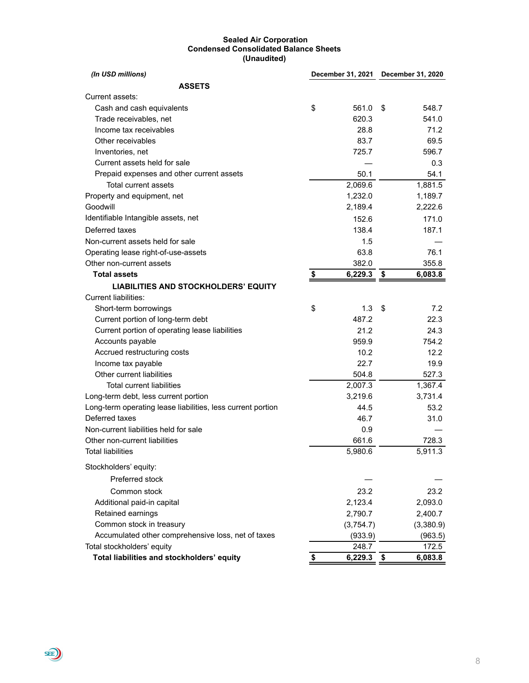#### **Sealed Air Corporation Condensed Consolidated Balance Sheets (Unaudited)**

| (In USD millions)                                           | December 31, 2021 December 31, 2020 |      |           |
|-------------------------------------------------------------|-------------------------------------|------|-----------|
| <b>ASSETS</b>                                               |                                     |      |           |
| Current assets:                                             |                                     |      |           |
| Cash and cash equivalents                                   | \$<br>561.0                         | \$   | 548.7     |
| Trade receivables, net                                      | 620.3                               |      | 541.0     |
| Income tax receivables                                      | 28.8                                |      | 71.2      |
| Other receivables                                           | 83.7                                |      | 69.5      |
| Inventories, net                                            | 725.7                               |      | 596.7     |
| Current assets held for sale                                |                                     |      | 0.3       |
| Prepaid expenses and other current assets                   | 50.1                                |      | 54.1      |
| Total current assets                                        | 2,069.6                             |      | 1,881.5   |
| Property and equipment, net                                 | 1,232.0                             |      | 1,189.7   |
| Goodwill                                                    | 2,189.4                             |      | 2,222.6   |
| Identifiable Intangible assets, net                         | 152.6                               |      | 171.0     |
| Deferred taxes                                              | 138.4                               |      | 187.1     |
| Non-current assets held for sale                            | 1.5                                 |      |           |
| Operating lease right-of-use-assets                         | 63.8                                |      | 76.1      |
| Other non-current assets                                    | 382.0                               |      | 355.8     |
| <b>Total assets</b>                                         | \$<br>6,229.3                       | \$   | 6,083.8   |
| <b>LIABILITIES AND STOCKHOLDERS' EQUITY</b>                 |                                     |      |           |
| <b>Current liabilities:</b>                                 |                                     |      |           |
| Short-term borrowings                                       | \$<br>1.3                           | \$   | 7.2       |
| Current portion of long-term debt                           | 487.2                               |      | 22.3      |
| Current portion of operating lease liabilities              | 21.2                                |      | 24.3      |
| Accounts payable                                            | 959.9                               |      | 754.2     |
| Accrued restructuring costs                                 | 10.2                                |      | 12.2      |
| Income tax payable                                          | 22.7                                |      | 19.9      |
| Other current liabilities                                   | 504.8                               |      | 527.3     |
| <b>Total current liabilities</b>                            | 2,007.3                             |      | 1,367.4   |
| Long-term debt, less current portion                        | 3,219.6                             |      | 3,731.4   |
| Long-term operating lease liabilities, less current portion | 44.5                                |      | 53.2      |
| Deferred taxes                                              | 46.7                                |      | 31.0      |
| Non-current liabilities held for sale                       | 0.9                                 |      |           |
| Other non-current liabilities                               | 661.6                               |      | 728.3     |
| Total liabilities                                           | 5,980.6                             |      | 5,911.3   |
| Stockholders' equity:                                       |                                     |      |           |
| Preferred stock                                             |                                     |      |           |
| Common stock                                                | 23.2                                |      | 23.2      |
| Additional paid-in capital                                  | 2,123.4                             |      | 2,093.0   |
| Retained earnings                                           | 2,790.7                             |      | 2,400.7   |
| Common stock in treasury                                    | (3,754.7)                           |      | (3,380.9) |
| Accumulated other comprehensive loss, net of taxes          | (933.9)                             |      | (963.5)   |
| Total stockholders' equity                                  | 248.7                               |      | 172.5     |
| Total liabilities and stockholders' equity                  | \$<br>6,229.3                       | - \$ | 6,083.8   |

**SED**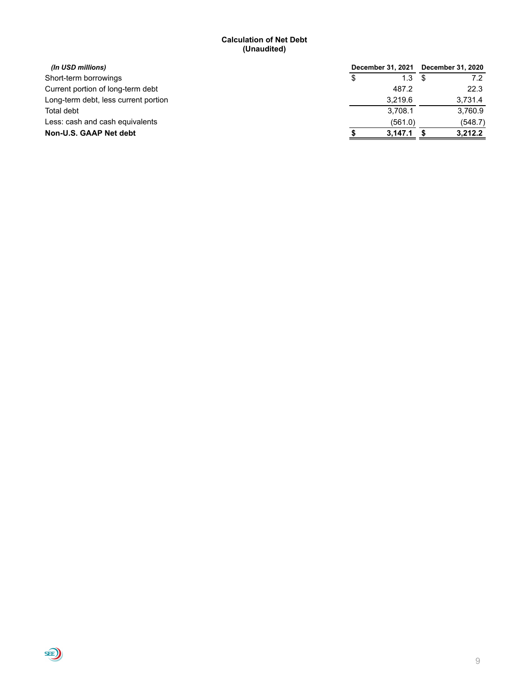#### **Calculation of Net Debt (Unaudited)**

| (In USD millions)                    |    | December 31, 2021 | <b>December 31, 2020</b> |
|--------------------------------------|----|-------------------|--------------------------|
| Short-term borrowings                | æ. | 1.3               |                          |
| Current portion of long-term debt    |    | 487.2             | 22.3                     |
| Long-term debt, less current portion |    | 3.219.6           | 3,731.4                  |
| Total debt                           |    | 3.708.1           | 3,760.9                  |
| Less: cash and cash equivalents      |    | (561.0)           | (548.7)                  |
| Non-U.S. GAAP Net debt               |    | 3,147.1           | 3,212.2                  |

 $\bigoplus$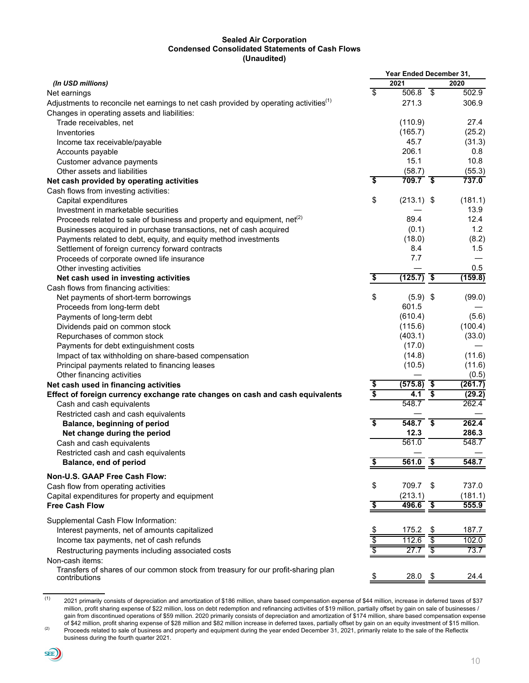#### **Sealed Air Corporation Condensed Consolidated Statements of Cash Flows (Unaudited)**

|                                                                                                   |                                      | Year Ended December 31, |                                      |         |
|---------------------------------------------------------------------------------------------------|--------------------------------------|-------------------------|--------------------------------------|---------|
| (In USD millions)                                                                                 |                                      | 2021                    |                                      | 2020    |
| Net earnings                                                                                      | \$                                   | $506.8$ \$              |                                      | 502.9   |
| Adjustments to reconcile net earnings to net cash provided by operating activities <sup>(1)</sup> |                                      | 271.3                   |                                      | 306.9   |
| Changes in operating assets and liabilities:                                                      |                                      |                         |                                      |         |
| Trade receivables, net                                                                            |                                      | (110.9)                 |                                      | 27.4    |
| Inventories                                                                                       |                                      | (165.7)                 |                                      | (25.2)  |
| Income tax receivable/payable                                                                     |                                      | 45.7                    |                                      | (31.3)  |
| Accounts payable                                                                                  |                                      | 206.1                   |                                      | 0.8     |
| Customer advance payments                                                                         |                                      | 15.1                    |                                      | 10.8    |
| Other assets and liabilities                                                                      |                                      | (58.7)                  |                                      | (55.3)  |
| Net cash provided by operating activities                                                         | $\overline{\boldsymbol{\mathsf{s}}}$ | $709.7$ \$              |                                      | 737.0   |
| Cash flows from investing activities:                                                             |                                      |                         |                                      |         |
| Capital expenditures                                                                              | \$                                   | $(213.1)$ \$            |                                      | (181.1) |
| Investment in marketable securities                                                               |                                      |                         |                                      | 13.9    |
| Proceeds related to sale of business and property and equipment, net <sup>(2)</sup>               |                                      | 89.4                    |                                      | 12.4    |
| Businesses acquired in purchase transactions, net of cash acquired                                |                                      | (0.1)                   |                                      | 1.2     |
| Payments related to debt, equity, and equity method investments                                   |                                      | (18.0)                  |                                      | (8.2)   |
| Settlement of foreign currency forward contracts                                                  |                                      | 8.4                     |                                      | 1.5     |
| Proceeds of corporate owned life insurance                                                        |                                      | 7.7                     |                                      |         |
| Other investing activities                                                                        |                                      |                         |                                      | 0.5     |
| Net cash used in investing activities                                                             | \$                                   | (125.7)                 | \$                                   | (159.8) |
| Cash flows from financing activities:                                                             |                                      |                         |                                      |         |
| Net payments of short-term borrowings                                                             | \$                                   | $(5.9)$ \$              |                                      | (99.0)  |
| Proceeds from long-term debt                                                                      |                                      | 601.5                   |                                      |         |
| Payments of long-term debt                                                                        |                                      | (610.4)                 |                                      | (5.6)   |
| Dividends paid on common stock                                                                    |                                      | (115.6)                 |                                      | (100.4) |
| Repurchases of common stock                                                                       |                                      | (403.1)                 |                                      | (33.0)  |
| Payments for debt extinguishment costs                                                            |                                      | (17.0)                  |                                      |         |
| Impact of tax withholding on share-based compensation                                             |                                      | (14.8)                  |                                      | (11.6)  |
| Principal payments related to financing leases                                                    |                                      | (10.5)                  |                                      | (11.6)  |
| Other financing activities                                                                        |                                      |                         |                                      | (0.5)   |
| Net cash used in financing activities                                                             |                                      | (575.8)                 | $\overline{\bullet}$                 | (261.7) |
| Effect of foreign currency exchange rate changes on cash and cash equivalents                     | $\frac{1}{3}$                        | 4.1                     | $\overline{\boldsymbol{\mathsf{s}}}$ | (29.2)  |
| Cash and cash equivalents                                                                         |                                      | 548.7                   |                                      | 262.4   |
| Restricted cash and cash equivalents                                                              |                                      |                         |                                      |         |
| Balance, beginning of period                                                                      | $\overline{\boldsymbol{\mathsf{s}}}$ | $\overline{548.7}$ \$   |                                      | 262.4   |
|                                                                                                   |                                      | 12.3                    |                                      | 286.3   |
| Net change during the period                                                                      |                                      | 561.0                   |                                      | 548.7   |
| Cash and cash equivalents                                                                         |                                      |                         |                                      |         |
| Restricted cash and cash equivalents                                                              |                                      |                         | \$                                   | 548.7   |
| <b>Balance, end of period</b>                                                                     | <u>\$</u>                            | 561.0                   |                                      |         |
| Non-U.S. GAAP Free Cash Flow:                                                                     |                                      |                         |                                      |         |
| Cash flow from operating activities                                                               | \$                                   | 709.7                   | \$                                   | 737.0   |
| Capital expenditures for property and equipment                                                   |                                      | (213.1)                 |                                      | (181.1) |
| <b>Free Cash Flow</b>                                                                             | \$                                   | 496.6                   | $\overline{\bullet}$                 | 555.9   |
|                                                                                                   |                                      |                         |                                      |         |
| Supplemental Cash Flow Information:                                                               |                                      |                         |                                      |         |
| Interest payments, net of amounts capitalized                                                     | \$                                   | 175.2                   | \$                                   | 187.7   |
| Income tax payments, net of cash refunds                                                          | $\overline{\$}$                      | 112.6                   |                                      | 102.0   |
| Restructuring payments including associated costs                                                 |                                      | 27.7                    |                                      | 73.7    |
| Non-cash items:                                                                                   |                                      |                         |                                      |         |
| Transfers of shares of our common stock from treasury for our profit-sharing plan                 |                                      |                         |                                      |         |
| contributions                                                                                     | $\hat{\mathcal{P}}$                  | 28.0                    | <u>\$</u>                            | 24.4    |

 $(1)$  2021 primarily consists of depreciation and amortization of \$186 million, share based compensation expense of \$44 million, increase in deferred taxes of \$37 million, profit sharing expense of \$22 million, loss on debt redemption and refinancing activities of \$19 million, partially offset by gain on sale of businesses / gain from discontinued operations of \$59 million. 2020 primarily consists of depreciation and amortization of \$174 million, share based compensation expense of \$42 million, profit sharing expense of \$28 million and \$82 million increase in deferred taxes, partially offset by gain on an equity investment of \$15 million. (2) Proceeds related to sale of business and property and equipment during the year ended December 31, 2021, primarily relate to the sale of the Reflectix

business during the fourth quarter 2021.

 $SE$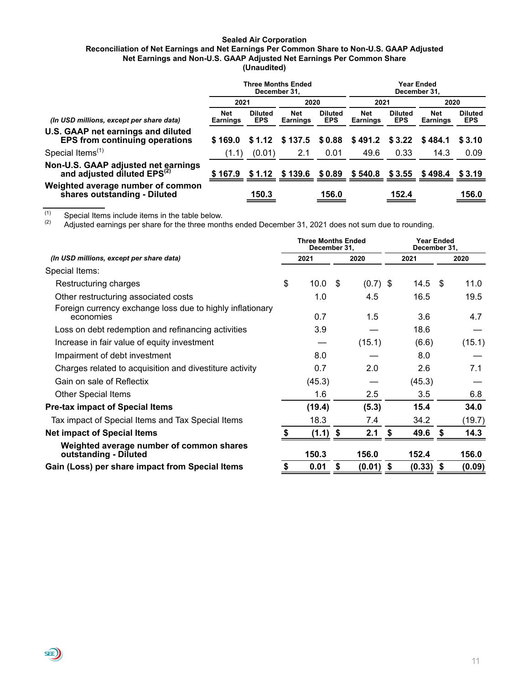#### **Sealed Air Corporation**

#### **Reconciliation of Net Earnings and Net Earnings Per Common Share to Non-U.S. GAAP Adjusted Net Earnings and Non-U.S. GAAP Adjusted Net Earnings Per Common Share (Unaudited)**

|                                                                                    |                               | December 31.                 | <b>Three Months Ended</b>     |                              |                                                             | December 31.                 | Year Ended                    |                              |
|------------------------------------------------------------------------------------|-------------------------------|------------------------------|-------------------------------|------------------------------|-------------------------------------------------------------|------------------------------|-------------------------------|------------------------------|
|                                                                                    | 2021                          |                              | 2020                          |                              | 2021                                                        |                              | 2020                          |                              |
| (In USD millions, except per share data)                                           | <b>Net</b><br><b>Earnings</b> | <b>Diluted</b><br><b>EPS</b> | <b>Net</b><br><b>Earnings</b> | <b>Diluted</b><br><b>EPS</b> | <b>Net</b><br><b>Earnings</b>                               | <b>Diluted</b><br><b>EPS</b> | <b>Net</b><br><b>Earnings</b> | <b>Diluted</b><br><b>EPS</b> |
| <b>U.S. GAAP net earnings and diluted</b><br><b>EPS from continuing operations</b> | \$169.0                       | \$1.12                       | \$137.5                       | \$0.88                       | \$491.2                                                     | \$ 3.22                      | \$484.1                       | \$3.10                       |
| Special Items <sup>(1)</sup>                                                       | (1.1)                         | (0.01)                       | 2.1                           | 0.01                         | 49.6                                                        | 0.33                         | 14.3                          | 0.09                         |
| Non-U.S. GAAP adjusted net earnings<br>and adjusted diluted EPS <sup>(2)</sup>     |                               |                              |                               |                              | \$167.9 \$1.12 \$139.6 \$0.89 \$540.8 \$3.55 \$498.4 \$3.19 |                              |                               |                              |
| Weighted average number of common<br>shares outstanding - Diluted                  |                               | 150.3                        |                               | 156.0                        |                                                             | 152.4                        |                               | 156.0                        |

 $\overline{c}$ <sup>(1)</sup> Special Items include items in the table below.<br> $\overline{c}$  Adjusted earnings per share for the three mont

**SEE** 

Adjusted earnings per share for the three months ended December 31, 2021 does not sum due to rounding.

|                                                                        | <b>Three Months Ended</b><br>December 31, |      |            |    | <b>Year Ended</b><br>December 31, |    |        |
|------------------------------------------------------------------------|-------------------------------------------|------|------------|----|-----------------------------------|----|--------|
| (In USD millions, except per share data)                               | 2021                                      |      | 2020       |    | 2021                              |    | 2020   |
| Special Items:                                                         |                                           |      |            |    |                                   |    |        |
| Restructuring charges                                                  | \$<br>10.0                                | - \$ | $(0.7)$ \$ |    | 14.5                              | \$ | 11.0   |
| Other restructuring associated costs                                   | 1.0                                       |      | 4.5        |    | 16.5                              |    | 19.5   |
| Foreign currency exchange loss due to highly inflationary<br>economies | 0.7                                       |      | 1.5        |    | 3.6                               |    | 4.7    |
| Loss on debt redemption and refinancing activities                     | 3.9                                       |      |            |    | 18.6                              |    |        |
| Increase in fair value of equity investment                            |                                           |      | (15.1)     |    | (6.6)                             |    | (15.1) |
| Impairment of debt investment                                          | 8.0                                       |      |            |    | 8.0                               |    |        |
| Charges related to acquisition and divestiture activity                | 0.7                                       |      | 2.0        |    | 2.6                               |    | 7.1    |
| Gain on sale of Reflectix                                              | (45.3)                                    |      |            |    | (45.3)                            |    |        |
| <b>Other Special Items</b>                                             | 1.6                                       |      | 2.5        |    | 3.5                               |    | 6.8    |
| <b>Pre-tax impact of Special Items</b>                                 | (19.4)                                    |      | (5.3)      |    | 15.4                              |    | 34.0   |
| Tax impact of Special Items and Tax Special Items                      | 18.3                                      |      | 7.4        |    | 34.2                              |    | (19.7) |
| <b>Net impact of Special Items</b>                                     | (1.1)                                     | \$   | 2.1        | S  | 49.6                              | S  | 14.3   |
| Weighted average number of common shares<br>outstanding - Diluted      | 150.3                                     |      | 156.0      |    | 152.4                             |    | 156.0  |
| Gain (Loss) per share impact from Special Items                        | 0.01                                      | \$   | (0.01)     | \$ | (0.33)                            | \$ | (0.09) |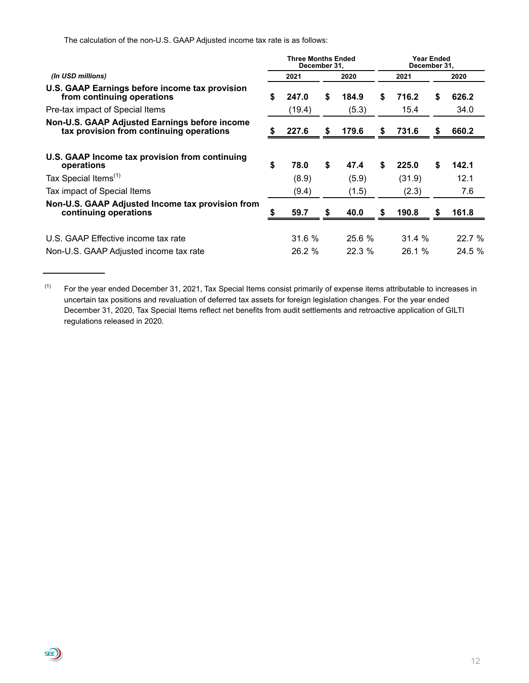The calculation of the non-U.S. GAAP Adjusted income tax rate is as follows:

**三)** 

|                                                                                           |    | <b>Three Months Ended</b><br>December 31, |    |        |   | December 31, | Year Ended |        |
|-------------------------------------------------------------------------------------------|----|-------------------------------------------|----|--------|---|--------------|------------|--------|
| (In USD millions)                                                                         |    | 2021                                      |    | 2020   |   | 2021         |            | 2020   |
| U.S. GAAP Earnings before income tax provision<br>from continuing operations              | S. | 247.0                                     | S  | 184.9  | S | 716.2        | S.         | 626.2  |
| Pre-tax impact of Special Items                                                           |    | (19.4)                                    |    | (5.3)  |   | 15.4         |            | 34.0   |
| Non-U.S. GAAP Adjusted Earnings before income<br>tax provision from continuing operations |    | 227.6                                     |    | 179.6  | S | 731.6        | S          | 660.2  |
| U.S. GAAP Income tax provision from continuing<br>operations                              | \$ | 78.0                                      | \$ | 47.4   | S | 225.0        | \$         | 142.1  |
| Tax Special Items <sup>(1)</sup>                                                          |    | (8.9)                                     |    | (5.9)  |   | (31.9)       |            | 12.1   |
| Tax impact of Special Items                                                               |    | (9.4)                                     |    | (1.5)  |   | (2.3)        |            | 7.6    |
| Non-U.S. GAAP Adjusted Income tax provision from<br>continuing operations                 |    | 59.7                                      | S  | 40.0   | S | 190.8        | S          | 161.8  |
| U.S. GAAP Effective income tax rate                                                       |    | 31.6 %                                    |    | 25.6 % |   | 31.4 %       |            | 22.7 % |
| Non-U.S. GAAP Adjusted income tax rate                                                    |    | 26.2 %                                    |    | 22.3%  |   | 26.1%        |            | 24.5 % |

 $(1)$  For the year ended December 31, 2021, Tax Special Items consist primarily of expense items attributable to increases in uncertain tax positions and revaluation of deferred tax assets for foreign legislation changes. For the year ended December 31, 2020, Tax Special Items reflect net benefits from audit settlements and retroactive application of GILTI regulations released in 2020.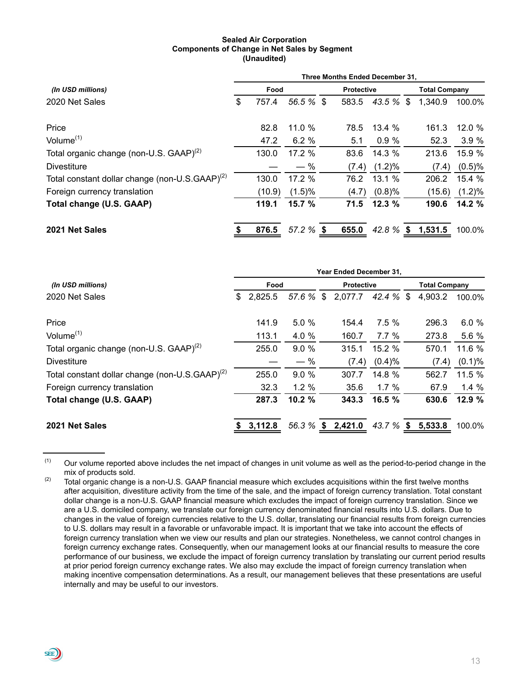#### **Sealed Air Corporation Components of Change in Net Sales by Segment (Unaudited)**

|                                                            | <b>Three Months Ended December 31.</b> |        |              |  |                      |             |  |         |           |  |  |  |
|------------------------------------------------------------|----------------------------------------|--------|--------------|--|----------------------|-------------|--|---------|-----------|--|--|--|
| (In USD millions)                                          |                                        | Food   |              |  | <b>Total Company</b> |             |  |         |           |  |  |  |
| 2020 Net Sales                                             | \$                                     | 757.4  | 56.5 % \$    |  | 583.5                | $43.5\%$ \$ |  | 1,340.9 | 100.0%    |  |  |  |
| Price                                                      |                                        | 82.8   | 11.0%        |  | 78.5                 | 13.4%       |  | 161.3   | 12.0%     |  |  |  |
| Volume <sup>(1)</sup>                                      |                                        | 47.2   | 6.2%         |  | 5.1                  | 0.9%        |  | 52.3    | 3.9%      |  |  |  |
| Total organic change (non-U.S. GAAP) <sup>(2)</sup>        |                                        | 130.0  | 17.2 %       |  | 83.6                 | 14.3 %      |  | 213.6   | 15.9 %    |  |  |  |
| <b>Divestiture</b>                                         |                                        |        | $-$ %        |  | (7.4)                | $(1.2)\%$   |  | (7.4)   | (0.5)%    |  |  |  |
| Total constant dollar change (non-U.S.GAAP) <sup>(2)</sup> |                                        | 130.0  | 17.2%        |  | 76.2                 | 13.1 %      |  | 206.2   | 15.4 %    |  |  |  |
| Foreign currency translation                               |                                        | (10.9) | (1.5)%       |  | (4.7)                | (0.8)%      |  | (15.6)  | $(1.2)\%$ |  |  |  |
| Total change (U.S. GAAP)                                   |                                        | 119.1  | 15.7 %       |  | 71.5                 | 12.3%       |  | 190.6   | 14.2 %    |  |  |  |
| 2021 Net Sales                                             |                                        | 876.5  | $57.2 \%$ \$ |  | 655.0                | 42.8 $%$ \$ |  | 1,531.5 | 100.0%    |  |  |  |

|                                                            | Year Ended December 31, |         |        |  |                             |         |    |                      |          |  |  |  |  |
|------------------------------------------------------------|-------------------------|---------|--------|--|-----------------------------|---------|----|----------------------|----------|--|--|--|--|
| (In USD millions)                                          |                         | Food    |        |  | <b>Protective</b>           |         |    | <b>Total Company</b> |          |  |  |  |  |
| 2020 Net Sales                                             |                         | 2,825.5 |        |  | 57.6 % \$ 2,077.7 42.4 % \$ |         |    | 4,903.2              | 100.0%   |  |  |  |  |
| Price                                                      |                         | 141.9   | 5.0%   |  | 154.4                       | 7.5%    |    | 296.3                | 6.0%     |  |  |  |  |
| Volume $(1)$                                               |                         | 113.1   | 4.0 %  |  | 160.7                       | $7.7\%$ |    | 273.8                | 5.6 %    |  |  |  |  |
| Total organic change (non-U.S. GAAP) <sup>(2)</sup>        |                         | 255.0   | 9.0%   |  | 315.1                       | 15.2 %  |    | 570.1                | 11.6 %   |  |  |  |  |
| <b>Divestiture</b>                                         |                         |         | $-$ %  |  | (7.4)                       | (0.4)%  |    | (7.4)                | (0.1)%   |  |  |  |  |
| Total constant dollar change (non-U.S.GAAP) <sup>(2)</sup> |                         | 255.0   | 9.0%   |  | 307.7                       | 14.8 %  |    | 562.7                | 11.5 $%$ |  |  |  |  |
| Foreign currency translation                               |                         | 32.3    | 1.2%   |  | 35.6                        | 1.7 $%$ |    | 67.9                 | 1.4%     |  |  |  |  |
| Total change (U.S. GAAP)                                   |                         | 287.3   | 10.2 % |  | 343.3                       | 16.5 %  |    | 630.6                | 12.9 %   |  |  |  |  |
| 2021 Net Sales                                             |                         | 3,112.8 |        |  | 56.3 % \$ 2,421.0           | 43.7 %  | S. | 5,533.8              | 100.0%   |  |  |  |  |

 $(1)$  Our volume reported above includes the net impact of changes in unit volume as well as the period-to-period change in the mix of products sold.

SEE)

 $(2)$  Total organic change is a non-U.S. GAAP financial measure which excludes acquisitions within the first twelve months after acquisition, divestiture activity from the time of the sale, and the impact of foreign currency translation. Total constant dollar change is a non-U.S. GAAP financial measure which excludes the impact of foreign currency translation. Since we are a U.S. domiciled company, we translate our foreign currency denominated financial results into U.S. dollars. Due to changes in the value of foreign currencies relative to the U.S. dollar, translating our financial results from foreign currencies to U.S. dollars may result in a favorable or unfavorable impact. It is important that we take into account the effects of foreign currency translation when we view our results and plan our strategies. Nonetheless, we cannot control changes in foreign currency exchange rates. Consequently, when our management looks at our financial results to measure the core performance of our business, we exclude the impact of foreign currency translation by translating our current period results at prior period foreign currency exchange rates. We also may exclude the impact of foreign currency translation when making incentive compensation determinations. As a result, our management believes that these presentations are useful internally and may be useful to our investors.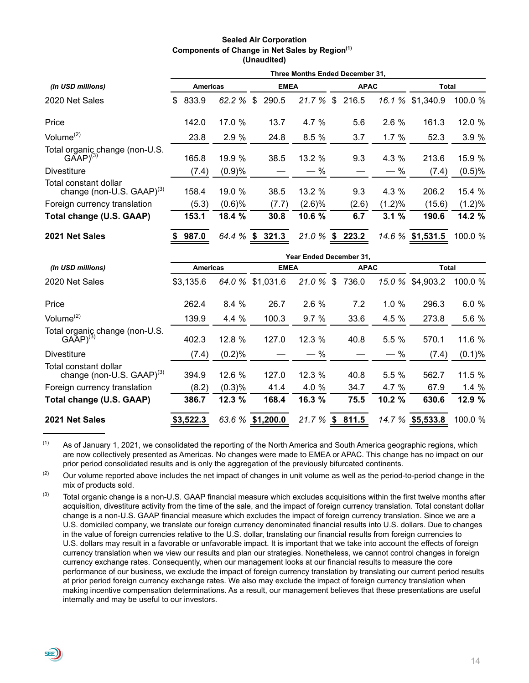#### **Sealed Air Corporation Components of Change in Net Sales by Region(1) (Unaudited)**

|                                                                   | Three Months Ended December 31, |                 |        |    |             |           |    |             |           |                  |           |  |  |
|-------------------------------------------------------------------|---------------------------------|-----------------|--------|----|-------------|-----------|----|-------------|-----------|------------------|-----------|--|--|
| (In USD millions)                                                 |                                 | <b>Americas</b> |        |    | <b>EMEA</b> |           |    | <b>APAC</b> |           | <b>Total</b>     |           |  |  |
| 2020 Net Sales                                                    | \$                              | 833.9           | 62.2 % | \$ | 290.5       | 21.7%     | \$ | 216.5       | 16.1 %    | \$1,340.9        | 100.0 %   |  |  |
| Price                                                             |                                 | 142.0           | 17.0 % |    | 13.7        | 4.7 %     |    | 5.6         | 2.6%      | 161.3            | 12.0 %    |  |  |
| Volume $(2)$                                                      |                                 | 23.8            | 2.9%   |    | 24.8        | 8.5%      |    | 3.7         | 1.7%      | 52.3             | 3.9%      |  |  |
| Total organic change (non-U.S.<br>GAAP) <sup>(3)</sup>            |                                 | 165.8           | 19.9%  |    | 38.5        | 13.2%     |    | 9.3         | $4.3\%$   | 213.6            | 15.9 %    |  |  |
| <b>Divestiture</b>                                                |                                 | (7.4)           | (0.9)% |    |             | $-$ %     |    |             | $-$ %     | (7.4)            | (0.5)%    |  |  |
| Total constant dollar<br>change (non-U.S. $GAAP$ ) <sup>(3)</sup> |                                 | 158.4           | 19.0 % |    | 38.5        | 13.2 %    |    | 9.3         | 4.3 %     | 206.2            | 15.4 %    |  |  |
| Foreign currency translation                                      |                                 | (5.3)           | (0.6)% |    | (7.7)       | $(2.6)\%$ |    | (2.6)       | $(1.2)\%$ | (15.6)           | $(1.2)\%$ |  |  |
| Total change (U.S. GAAP)                                          |                                 | 153.1           | 18.4 % |    | 30.8        | 10.6 %    |    | 6.7         | 3.1%      | 190.6            | 14.2 %    |  |  |
| 2021 Net Sales                                                    |                                 | 987.0           | 64.4 % | \$ | 321.3       | 21.0 %    | \$ | 223.2       |           | 14.6 % \$1,531.5 | 100.0 %   |  |  |

|                                                                   | Year Ended December 31, |        |                  |                                       |    |       |             |           |           |  |  |  |  |
|-------------------------------------------------------------------|-------------------------|--------|------------------|---------------------------------------|----|-------|-------------|-----------|-----------|--|--|--|--|
| (In USD millions)                                                 | <b>Americas</b>         |        |                  | <b>EMEA</b>                           |    |       | <b>APAC</b> | Total     |           |  |  |  |  |
| 2020 Net Sales                                                    | \$3,135.6               | 64.0 % | \$1,031.6        | 21.0 %                                | \$ | 736.0 | 15.0 %      | \$4,903.2 | 100.0 %   |  |  |  |  |
| Price                                                             | 262.4                   | 8.4%   | 26.7             | 2.6%                                  |    | 7.2   | 1.0%        | 296.3     | 6.0%      |  |  |  |  |
| Volume $(2)$                                                      | 139.9                   | 4.4 %  | 100.3            | 9.7%                                  |    | 33.6  | 4.5 %       | 273.8     | 5.6 %     |  |  |  |  |
| Total organic change (non-U.S.<br>$GA\bar{A}P$ <sup>(3)</sup>     | 402.3                   | 12.8 % | 127.0            | 12.3 %                                |    | 40.8  | 5.5%        | 570.1     | 11.6 %    |  |  |  |  |
| <b>Divestiture</b>                                                | (7.4)                   | (0.2)% |                  | $\%$<br>$\overbrace{\phantom{aaaaa}}$ |    |       | $-$ %       | (7.4)     | $(0.1)\%$ |  |  |  |  |
| Total constant dollar<br>change (non-U.S. $GAAP$ ) <sup>(3)</sup> | 394.9                   | 12.6%  | 127.0            | 12.3%                                 |    | 40.8  | 5.5%        | 562.7     | 11.5 %    |  |  |  |  |
| Foreign currency translation                                      | (8.2)                   | (0.3)% | 41.4             | 4.0 %                                 |    | 34.7  | 4.7 %       | 67.9      | 1.4%      |  |  |  |  |
| Total change (U.S. GAAP)                                          | 386.7                   | 12.3 % | 168.4            | 16.3 %                                |    | 75.5  | 10.2 %      | 630.6     | 12.9 %    |  |  |  |  |
| 2021 Net Sales                                                    | \$3,522.3               |        | 63.6 % \$1,200.0 | 21.7 %                                | \$ | 811.5 | 14.7 %      | \$5,533.8 | 100.0 %   |  |  |  |  |

 $(1)$  As of January 1, 2021, we consolidated the reporting of the North America and South America geographic regions, which are now collectively presented as Americas. No changes were made to EMEA or APAC. This change has no impact on our prior period consolidated results and is only the aggregation of the previously bifurcated continents.

 $(2)$  Our volume reported above includes the net impact of changes in unit volume as well as the period-to-period change in the mix of products sold.

 $(3)$  Total organic change is a non-U.S. GAAP financial measure which excludes acquisitions within the first twelve months after acquisition, divestiture activity from the time of the sale, and the impact of foreign currency translation. Total constant dollar change is a non-U.S. GAAP financial measure which excludes the impact of foreign currency translation. Since we are a U.S. domiciled company, we translate our foreign currency denominated financial results into U.S. dollars. Due to changes in the value of foreign currencies relative to the U.S. dollar, translating our financial results from foreign currencies to U.S. dollars may result in a favorable or unfavorable impact. It is important that we take into account the effects of foreign currency translation when we view our results and plan our strategies. Nonetheless, we cannot control changes in foreign currency exchange rates. Consequently, when our management looks at our financial results to measure the core performance of our business, we exclude the impact of foreign currency translation by translating our current period results at prior period foreign currency exchange rates. We also may exclude the impact of foreign currency translation when making incentive compensation determinations. As a result, our management believes that these presentations are useful internally and may be useful to our investors.

sée))